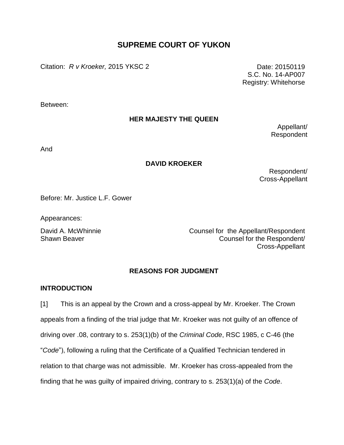# **SUPREME COURT OF YUKON**

Citation: *R v Kroeker,* 2015 YKSC 2 Date: 20150119

S.C. No. 14-AP007 Registry: Whitehorse

Between:

## **HER MAJESTY THE QUEEN**

Appellant/ Respondent

And

## **DAVID KROEKER**

Respondent/ Cross-Appellant

Before: Mr. Justice L.F. Gower

Appearances:

David A. McWhinnie **Counsel for the Appellant/Respondent** Shawn Beaver Counsel for the Respondent/ Cross-Appellant

# **REASONS FOR JUDGMENT**

## **INTRODUCTION**

[1] This is an appeal by the Crown and a cross-appeal by Mr. Kroeker. The Crown appeals from a finding of the trial judge that Mr. Kroeker was not guilty of an offence of driving over .08, contrary to s. 253(1)(b) of the *Criminal Code*, RSC 1985, c C-46 (the "*Code*"), following a ruling that the Certificate of a Qualified Technician tendered in relation to that charge was not admissible. Mr. Kroeker has cross-appealed from the finding that he was guilty of impaired driving, contrary to s. 253(1)(a) of the *Code*.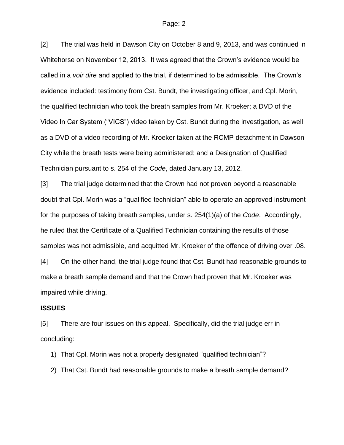[2] The trial was held in Dawson City on October 8 and 9, 2013, and was continued in Whitehorse on November 12, 2013. It was agreed that the Crown's evidence would be called in a *voir dire* and applied to the trial, if determined to be admissible. The Crown's evidence included: testimony from Cst. Bundt, the investigating officer, and Cpl. Morin, the qualified technician who took the breath samples from Mr. Kroeker; a DVD of the Video In Car System ("VICS") video taken by Cst. Bundt during the investigation, as well as a DVD of a video recording of Mr. Kroeker taken at the RCMP detachment in Dawson City while the breath tests were being administered; and a Designation of Qualified Technician pursuant to s. 254 of the *Code*, dated January 13, 2012.

[3] The trial judge determined that the Crown had not proven beyond a reasonable doubt that Cpl. Morin was a "qualified technician" able to operate an approved instrument for the purposes of taking breath samples, under s. 254(1)(a) of the *Code*. Accordingly, he ruled that the Certificate of a Qualified Technician containing the results of those samples was not admissible, and acquitted Mr. Kroeker of the offence of driving over .08.

[4] On the other hand, the trial judge found that Cst. Bundt had reasonable grounds to make a breath sample demand and that the Crown had proven that Mr. Kroeker was impaired while driving.

#### **ISSUES**

[5] There are four issues on this appeal. Specifically, did the trial judge err in concluding:

- 1) That Cpl. Morin was not a properly designated "qualified technician"?
- 2) That Cst. Bundt had reasonable grounds to make a breath sample demand?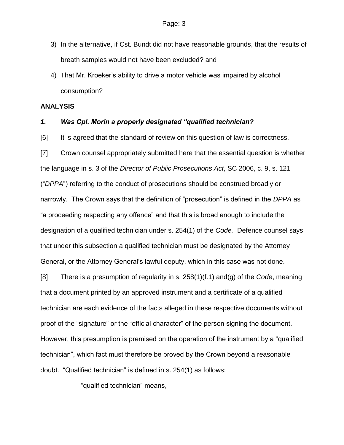- 3) In the alternative, if Cst. Bundt did not have reasonable grounds, that the results of breath samples would not have been excluded? and
- 4) That Mr. Kroeker's ability to drive a motor vehicle was impaired by alcohol consumption?

#### **ANALYSIS**

#### *1. Was Cpl. Morin a properly designated "qualified technician?*

[6] It is agreed that the standard of review on this question of law is correctness.

[7] Crown counsel appropriately submitted here that the essential question is whether the language in s. 3 of the *Director of Public Prosecutions Act*, SC 2006, c. 9, s. 121 ("*DPPA*") referring to the conduct of prosecutions should be construed broadly or narrowly. The Crown says that the definition of "prosecution" is defined in the *DPPA* as "a proceeding respecting any offence" and that this is broad enough to include the designation of a qualified technician under s. 254(1) of the *Code.* Defence counsel says that under this subsection a qualified technician must be designated by the Attorney General, or the Attorney General's lawful deputy, which in this case was not done.

[8] There is a presumption of regularity in s. 258(1)(f.1) and(g) of the *Code*, meaning that a document printed by an approved instrument and a certificate of a qualified technician are each evidence of the facts alleged in these respective documents without proof of the "signature" or the "official character" of the person signing the document. However, this presumption is premised on the operation of the instrument by a "qualified technician", which fact must therefore be proved by the Crown beyond a reasonable doubt. "Qualified technician" is defined in s. 254(1) as follows:

"qualified technician" means,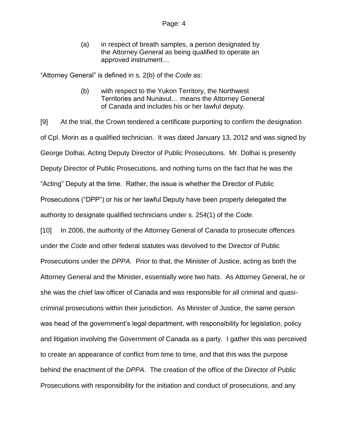(a) in respect of breath samples, a person designated by the Attorney General as being qualified to operate an approved instrument…

"Attorney General" is defined in s. 2(b) of the *Code* as:

(b) with respect to the Yukon Territory, the Northwest Territories and Nunavut… means the Attorney General of Canada and includes his or her lawful deputy.

[9] At the trial, the Crown tendered a certificate purporting to confirm the designation of Cpl. Morin as a qualified technician. It was dated January 13, 2012 and was signed by George Dolhai, Acting Deputy Director of Public Prosecutions. Mr. Dolhai is presently Deputy Director of Public Prosecutions, and nothing turns on the fact that he was the "Acting" Deputy at the time. Rather, the issue is whether the Director of Public Prosecutions ("DPP") or his or her lawful Deputy have been properly delegated the authority to designate qualified technicians under s. 254(1) of the *Code*.

[10] In 2006, the authority of the Attorney General of Canada to prosecute offences under the *Code* and other federal statutes was devolved to the Director of Public Prosecutions under the *DPPA.* Prior to that, the Minister of Justice, acting as both the Attorney General and the Minister, essentially wore two hats. As Attorney General, he or she was the chief law officer of Canada and was responsible for all criminal and quasicriminal prosecutions within their jurisdiction. As Minister of Justice, the same person was head of the government's legal department, with responsibility for legislation, policy and litigation involving the Government of Canada as a party. I gather this was perceived to create an appearance of conflict from time to time, and that this was the purpose behind the enactment of the *DPPA*. The creation of the office of the Director of Public Prosecutions with responsibility for the initiation and conduct of prosecutions, and any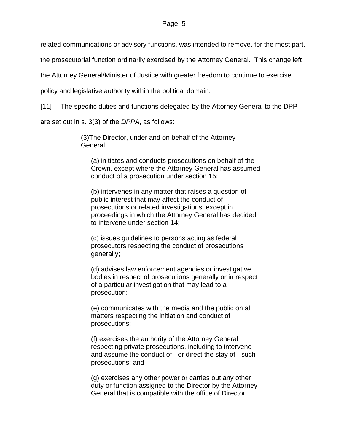related communications or advisory functions, was intended to remove, for the most part,

the prosecutorial function ordinarily exercised by the Attorney General. This change left

the Attorney General/Minister of Justice with greater freedom to continue to exercise

policy and legislative authority within the political domain.

[11] The specific duties and functions delegated by the Attorney General to the DPP

are set out in s. 3(3) of the *DPPA*, as follows:

(3)The Director, under and on behalf of the Attorney General,

(a) initiates and conducts prosecutions on behalf of the Crown, except where the Attorney General has assumed conduct of a prosecution under section 15;

(b) intervenes in any matter that raises a question of public interest that may affect the conduct of prosecutions or related investigations, except in proceedings in which the Attorney General has decided to intervene under section 14;

(c) issues guidelines to persons acting as federal prosecutors respecting the conduct of prosecutions generally;

(d) advises law enforcement agencies or investigative bodies in respect of prosecutions generally or in respect of a particular investigation that may lead to a prosecution;

(e) communicates with the media and the public on all matters respecting the initiation and conduct of prosecutions;

(f) exercises the authority of the Attorney General respecting private prosecutions, including to intervene and assume the conduct of - or direct the stay of - such prosecutions; and

(g) exercises any other power or carries out any other duty or function assigned to the Director by the Attorney General that is compatible with the office of Director.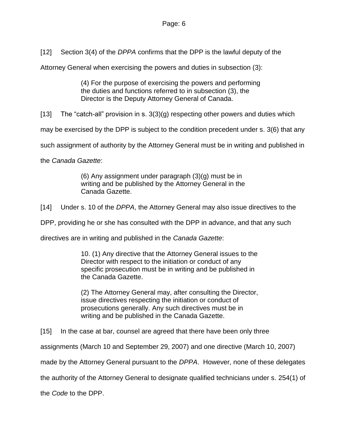[12] Section 3(4) of the *DPPA* confirms that the DPP is the lawful deputy of the

Attorney General when exercising the powers and duties in subsection (3):

(4) For the purpose of exercising the powers and performing the duties and functions referred to in subsection (3), the Director is the Deputy Attorney General of Canada.

[13] The "catch-all" provision in s.  $3(3)(g)$  respecting other powers and duties which

may be exercised by the DPP is subject to the condition precedent under s. 3(6) that any

such assignment of authority by the Attorney General must be in writing and published in

the *Canada Gazette*:

(6) Any assignment under paragraph (3)(g) must be in writing and be published by the Attorney General in the Canada Gazette.

[14] Under s. 10 of the *DPPA*, the Attorney General may also issue directives to the

DPP, providing he or she has consulted with the DPP in advance, and that any such

directives are in writing and published in the *Canada Gazette*:

10. (1) Any directive that the Attorney General issues to the Director with respect to the initiation or conduct of any specific prosecution must be in writing and be published in the Canada Gazette.

(2) The Attorney General may, after consulting the Director, issue directives respecting the initiation or conduct of prosecutions generally. Any such directives must be in writing and be published in the Canada Gazette.

[15] In the case at bar, counsel are agreed that there have been only three

assignments (March 10 and September 29, 2007) and one directive (March 10, 2007)

made by the Attorney General pursuant to the *DPPA*. However, none of these delegates

the authority of the Attorney General to designate qualified technicians under s. 254(1) of

the *Code* to the DPP.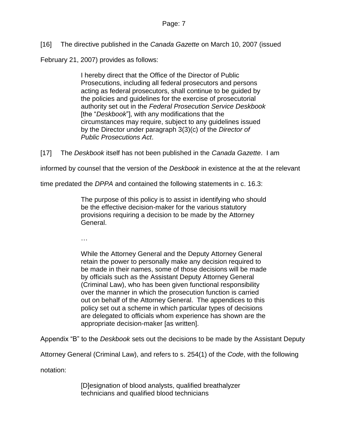[16] The directive published in the *Canada Gazette* on March 10, 2007 (issued

February 21, 2007) provides as follows:

I hereby direct that the Office of the Director of Public Prosecutions, including all federal prosecutors and persons acting as federal prosecutors, shall continue to be guided by the policies and guidelines for the exercise of prosecutorial authority set out in the *Federal Prosecution Service Deskbook* [the "*Deskbook*"], with any modifications that the circumstances may require, subject to any guidelines issued by the Director under paragraph 3(3)(c) of the *Director of Public Prosecutions Act*.

[17] The *Deskbook* itself has not been published in the *Canada Gazette*. I am

informed by counsel that the version of the *Deskbook* in existence at the at the relevant

time predated the *DPPA* and contained the following statements in c. 16.3:

The purpose of this policy is to assist in identifying who should be the effective decision-maker for the various statutory provisions requiring a decision to be made by the Attorney General.

…

While the Attorney General and the Deputy Attorney General retain the power to personally make any decision required to be made in their names, some of those decisions will be made by officials such as the Assistant Deputy Attorney General (Criminal Law), who has been given functional responsibility over the manner in which the prosecution function is carried out on behalf of the Attorney General. The appendices to this policy set out a scheme in which particular types of decisions are delegated to officials whom experience has shown are the appropriate decision-maker [as written].

Appendix "B" to the *Deskbook* sets out the decisions to be made by the Assistant Deputy

Attorney General (Criminal Law), and refers to s. 254(1) of the *Code*, with the following

notation:

[D]esignation of blood analysts, qualified breathalyzer technicians and qualified blood technicians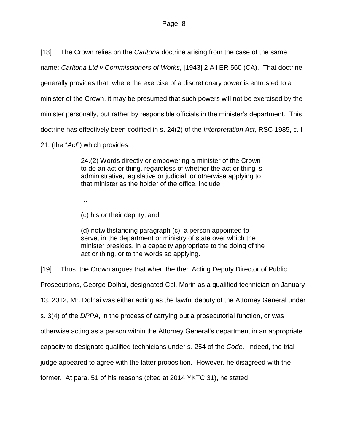[18] The Crown relies on the *Carltona* doctrine arising from the case of the same

name: *Carltona Ltd v Commissioners of Works*, [1943] 2 All ER 560 (CA). That doctrine

generally provides that, where the exercise of a discretionary power is entrusted to a

minister of the Crown, it may be presumed that such powers will not be exercised by the

minister personally, but rather by responsible officials in the minister's department. This

doctrine has effectively been codified in s. 24(2) of the *Interpretation Act,* RSC 1985, c. I-

21, (the "*Act*") which provides:

24.(2) Words directly or empowering a minister of the Crown to do an act or thing, regardless of whether the act or thing is administrative, legislative or judicial, or otherwise applying to that minister as the holder of the office, include

…

(c) his or their deputy; and

(d) notwithstanding paragraph (c), a person appointed to serve, in the department or ministry of state over which the minister presides, in a capacity appropriate to the doing of the act or thing, or to the words so applying.

[19] Thus, the Crown argues that when the then Acting Deputy Director of Public

Prosecutions, George Dolhai, designated Cpl. Morin as a qualified technician on January

13, 2012, Mr. Dolhai was either acting as the lawful deputy of the Attorney General under

s. 3(4) of the *DPPA*, in the process of carrying out a prosecutorial function, or was

otherwise acting as a person within the Attorney General's department in an appropriate

capacity to designate qualified technicians under s. 254 of the *Code*. Indeed, the trial

judge appeared to agree with the latter proposition. However, he disagreed with the

former. At para. 51 of his reasons (cited at 2014 YKTC 31), he stated: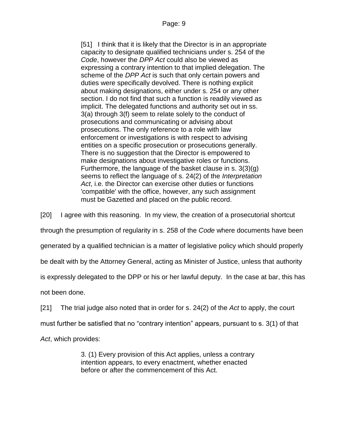[51] I think that it is likely that the Director is in an appropriate capacity to designate qualified technicians under s. 254 of the *Code*, however the *DPP Act* could also be viewed as expressing a contrary intention to that implied delegation. The scheme of the *DPP Act* is such that only certain powers and duties were specifically devolved. There is nothing explicit about making designations, either under s. 254 or any other section. I do not find that such a function is readily viewed as implicit. The delegated functions and authority set out in ss. 3(a) through 3(f) seem to relate solely to the conduct of prosecutions and communicating or advising about prosecutions. The only reference to a role with law enforcement or investigations is with respect to advising entities on a specific prosecution or prosecutions generally. There is no suggestion that the Director is empowered to make designations about investigative roles or functions. Furthermore, the language of the basket clause in s. 3(3)(g) seems to reflect the language of s. 24(2) of the *Interpretation Act*, i.e. the Director can exercise other duties or functions 'compatible' with the office, however, any such assignment must be Gazetted and placed on the public record.

[20] I agree with this reasoning. In my view, the creation of a prosecutorial shortcut

through the presumption of regularity in s. 258 of the *Code* where documents have been

generated by a qualified technician is a matter of legislative policy which should properly

be dealt with by the Attorney General, acting as Minister of Justice, unless that authority

is expressly delegated to the DPP or his or her lawful deputy. In the case at bar, this has

not been done.

[21] The trial judge also noted that in order for s. 24(2) of the *Act* to apply, the court

must further be satisfied that no "contrary intention" appears, pursuant to s. 3(1) of that

*Act*, which provides:

3. (1) Every provision of this Act applies, unless a contrary intention appears, to every enactment, whether enacted before or after the commencement of this Act.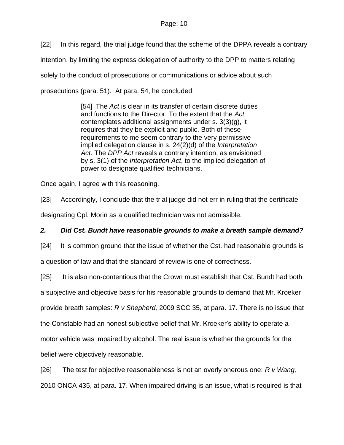[22] In this regard, the trial judge found that the scheme of the DPPA reveals a contrary intention, by limiting the express delegation of authority to the DPP to matters relating solely to the conduct of prosecutions or communications or advice about such prosecutions (para. 51). At para. 54, he concluded:

> [54] The *Act* is clear in its transfer of certain discrete duties and functions to the Director. To the extent that the *Act* contemplates additional assignments under s. 3(3)(g), it requires that they be explicit and public. Both of these requirements to me seem contrary to the very permissive implied delegation clause in s. 24(2)(d) of the *Interpretation Act*. The *DPP Act* reveals a contrary intention, as envisioned by s. 3(1) of the *Interpretation Act*, to the implied delegation of power to designate qualified technicians.

Once again, I agree with this reasoning.

[23] Accordingly, I conclude that the trial judge did not err in ruling that the certificate

designating Cpl. Morin as a qualified technician was not admissible.

# *2. Did Cst. Bundt have reasonable grounds to make a breath sample demand?*

[24] It is common ground that the issue of whether the Cst. had reasonable grounds is

a question of law and that the standard of review is one of correctness.

[25] It is also non-contentious that the Crown must establish that Cst. Bundt had both

a subjective and objective basis for his reasonable grounds to demand that Mr. Kroeker

provide breath samples: *R v Shepherd,* 2009 SCC 35, at para. 17. There is no issue that

the Constable had an honest subjective belief that Mr. Kroeker's ability to operate a

motor vehicle was impaired by alcohol. The real issue is whether the grounds for the

belief were objectively reasonable.

[26] The test for objective reasonableness is not an overly onerous one: *R v Wang,* 

2010 ONCA 435, at para. 17. When impaired driving is an issue, what is required is that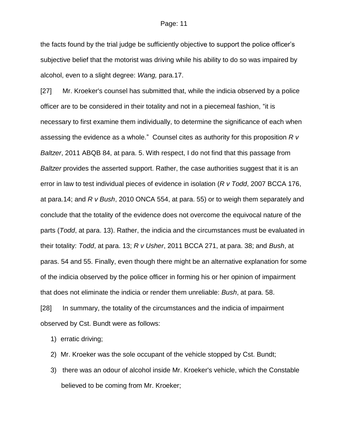the facts found by the trial judge be sufficiently objective to support the police officer's subjective belief that the motorist was driving while his ability to do so was impaired by alcohol, even to a slight degree: *Wang,* para.17.

[27] Mr. Kroeker's counsel has submitted that, while the indicia observed by a police officer are to be considered in their totality and not in a piecemeal fashion, "it is necessary to first examine them individually, to determine the significance of each when assessing the evidence as a whole." Counsel cites as authority for this proposition *R v Baltzer*, 2011 ABQB 84, at para. 5. With respect, I do not find that this passage from *Baltzer* provides the asserted support. Rather, the case authorities suggest that it is an error in law to test individual pieces of evidence in isolation (*R v Todd*, 2007 BCCA 176, at para.14; and *R v Bush*, 2010 ONCA 554, at para. 55) or to weigh them separately and conclude that the totality of the evidence does not overcome the equivocal nature of the parts (*Todd*, at para. 13). Rather, the indicia and the circumstances must be evaluated in their totality: *Todd*, at para. 13; *R v Usher*, 2011 BCCA 271, at para. 38; and *Bush*, at paras. 54 and 55. Finally, even though there might be an alternative explanation for some of the indicia observed by the police officer in forming his or her opinion of impairment that does not eliminate the indicia or render them unreliable: *Bush*, at para. 58.

[28] In summary, the totality of the circumstances and the indicia of impairment observed by Cst. Bundt were as follows:

1) erratic driving;

- 2) Mr. Kroeker was the sole occupant of the vehicle stopped by Cst. Bundt;
- 3) there was an odour of alcohol inside Mr. Kroeker's vehicle, which the Constable believed to be coming from Mr. Kroeker;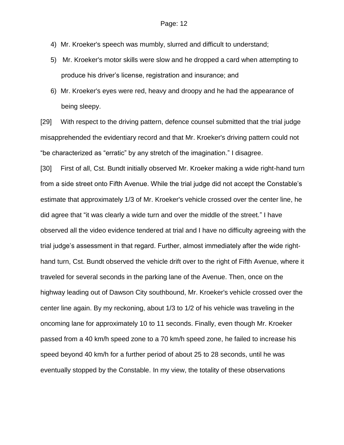- 4) Mr. Kroeker's speech was mumbly, slurred and difficult to understand;
- 5) Mr. Kroeker's motor skills were slow and he dropped a card when attempting to produce his driver's license, registration and insurance; and
- 6) Mr. Kroeker's eyes were red, heavy and droopy and he had the appearance of being sleepy.

[29] With respect to the driving pattern, defence counsel submitted that the trial judge misapprehended the evidentiary record and that Mr. Kroeker's driving pattern could not "be characterized as "erratic" by any stretch of the imagination." I disagree.

[30] First of all, Cst. Bundt initially observed Mr. Kroeker making a wide right-hand turn from a side street onto Fifth Avenue. While the trial judge did not accept the Constable's estimate that approximately 1/3 of Mr. Kroeker's vehicle crossed over the center line, he did agree that "it was clearly a wide turn and over the middle of the street." I have observed all the video evidence tendered at trial and I have no difficulty agreeing with the trial judge's assessment in that regard. Further, almost immediately after the wide righthand turn, Cst. Bundt observed the vehicle drift over to the right of Fifth Avenue, where it traveled for several seconds in the parking lane of the Avenue. Then, once on the highway leading out of Dawson City southbound, Mr. Kroeker's vehicle crossed over the center line again. By my reckoning, about 1/3 to 1/2 of his vehicle was traveling in the oncoming lane for approximately 10 to 11 seconds. Finally, even though Mr. Kroeker passed from a 40 km/h speed zone to a 70 km/h speed zone, he failed to increase his speed beyond 40 km/h for a further period of about 25 to 28 seconds, until he was eventually stopped by the Constable. In my view, the totality of these observations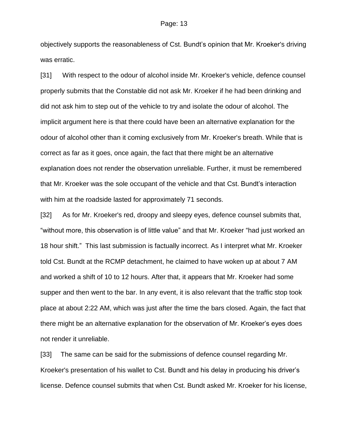objectively supports the reasonableness of Cst. Bundt's opinion that Mr. Kroeker's driving was erratic.

[31] With respect to the odour of alcohol inside Mr. Kroeker's vehicle, defence counsel properly submits that the Constable did not ask Mr. Kroeker if he had been drinking and did not ask him to step out of the vehicle to try and isolate the odour of alcohol. The implicit argument here is that there could have been an alternative explanation for the odour of alcohol other than it coming exclusively from Mr. Kroeker's breath. While that is correct as far as it goes, once again, the fact that there might be an alternative explanation does not render the observation unreliable. Further, it must be remembered that Mr. Kroeker was the sole occupant of the vehicle and that Cst. Bundt's interaction with him at the roadside lasted for approximately 71 seconds.

[32] As for Mr. Kroeker's red, droopy and sleepy eyes, defence counsel submits that, "without more, this observation is of little value" and that Mr. Kroeker "had just worked an 18 hour shift." This last submission is factually incorrect. As I interpret what Mr. Kroeker told Cst. Bundt at the RCMP detachment, he claimed to have woken up at about 7 AM and worked a shift of 10 to 12 hours. After that, it appears that Mr. Kroeker had some supper and then went to the bar. In any event, it is also relevant that the traffic stop took place at about 2:22 AM, which was just after the time the bars closed. Again, the fact that there might be an alternative explanation for the observation of Mr. Kroeker's eyes does not render it unreliable.

[33] The same can be said for the submissions of defence counsel regarding Mr. Kroeker's presentation of his wallet to Cst. Bundt and his delay in producing his driver's license. Defence counsel submits that when Cst. Bundt asked Mr. Kroeker for his license,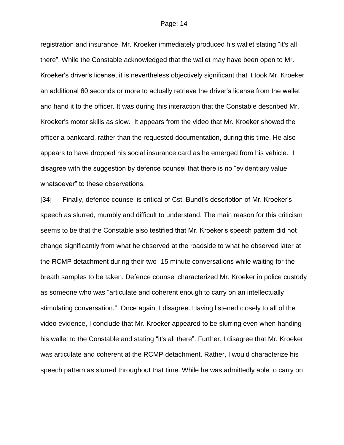registration and insurance, Mr. Kroeker immediately produced his wallet stating "it's all there". While the Constable acknowledged that the wallet may have been open to Mr. Kroeker's driver's license, it is nevertheless objectively significant that it took Mr. Kroeker an additional 60 seconds or more to actually retrieve the driver's license from the wallet and hand it to the officer. It was during this interaction that the Constable described Mr. Kroeker's motor skills as slow. It appears from the video that Mr. Kroeker showed the officer a bankcard, rather than the requested documentation, during this time. He also appears to have dropped his social insurance card as he emerged from his vehicle. I disagree with the suggestion by defence counsel that there is no "evidentiary value whatsoever" to these observations.

[34] Finally, defence counsel is critical of Cst. Bundt's description of Mr. Kroeker's speech as slurred, mumbly and difficult to understand. The main reason for this criticism seems to be that the Constable also testified that Mr. Kroeker's speech pattern did not change significantly from what he observed at the roadside to what he observed later at the RCMP detachment during their two -15 minute conversations while waiting for the breath samples to be taken. Defence counsel characterized Mr. Kroeker in police custody as someone who was "articulate and coherent enough to carry on an intellectually stimulating conversation." Once again, I disagree. Having listened closely to all of the video evidence, I conclude that Mr. Kroeker appeared to be slurring even when handing his wallet to the Constable and stating "it's all there". Further, I disagree that Mr. Kroeker was articulate and coherent at the RCMP detachment. Rather, I would characterize his speech pattern as slurred throughout that time. While he was admittedly able to carry on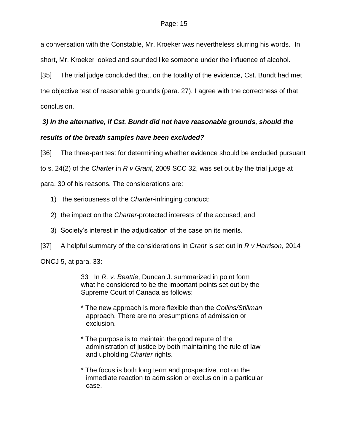a conversation with the Constable, Mr. Kroeker was nevertheless slurring his words. In short, Mr. Kroeker looked and sounded like someone under the influence of alcohol.

[35] The trial judge concluded that, on the totality of the evidence, Cst. Bundt had met the objective test of reasonable grounds (para. 27). I agree with the correctness of that conclusion.

# *3) In the alternative, if Cst. Bundt did not have reasonable grounds, should the results of the breath samples have been excluded?*

[36] The three-part test for determining whether evidence should be excluded pursuant

to s. 24(2) of the *Charter* in *R v Grant*, 2009 SCC 32, was set out by the trial judge at

para. 30 of his reasons. The considerations are:

- 1) the seriousness of the *Charter*-infringing conduct;
- 2) the impact on the *Charter*-protected interests of the accused; and
- 3) Society's interest in the adjudication of the case on its merits.
- [37] A helpful summary of the considerations in *Grant* is set out in *R v Harrison*, 2014

ONCJ 5, at para. 33:

33In *R. v. Beattie*, Duncan J. summarized in point form what he considered to be the important points set out by the Supreme Court of Canada as follows:

- \* The new approach is more flexible than the *Collins/Stillman* approach. There are no presumptions of admission or exclusion.
- \* The purpose is to maintain the good repute of the administration of justice by both maintaining the rule of law and upholding *Charter* rights.
- \* The focus is both long term and prospective, not on the immediate reaction to admission or exclusion in a particular case.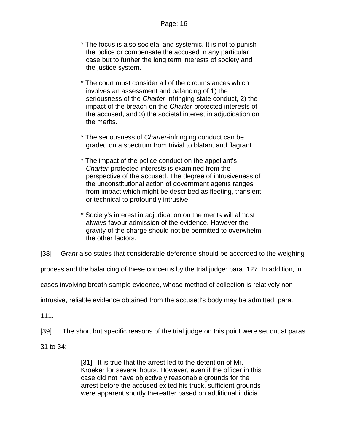- \* The focus is also societal and systemic. It is not to punish the police or compensate the accused in any particular case but to further the long term interests of society and the justice system.
- \* The court must consider all of the circumstances which involves an assessment and balancing of 1) the seriousness of the *Charter*-infringing state conduct, 2) the impact of the breach on the *Charter*-protected interests of the accused, and 3) the societal interest in adjudication on the merits.
- \* The seriousness of *Charter*-infringing conduct can be graded on a spectrum from trivial to blatant and flagrant.
- \* The impact of the police conduct on the appellant's *Charter*-protected interests is examined from the perspective of the accused. The degree of intrusiveness of the unconstitutional action of government agents ranges from impact which might be described as fleeting, transient or technical to profoundly intrusive.
- \* Society's interest in adjudication on the merits will almost always favour admission of the evidence. However the gravity of the charge should not be permitted to overwhelm the other factors.

[38] *Grant* also states that considerable deference should be accorded to the weighing

process and the balancing of these concerns by the trial judge: para. 127. In addition, in

cases involving breath sample evidence, whose method of collection is relatively non-

intrusive, reliable evidence obtained from the accused's body may be admitted: para.

111.

[39] The short but specific reasons of the trial judge on this point were set out at paras.

31 to 34:

[31] It is true that the arrest led to the detention of Mr. Kroeker for several hours. However, even if the officer in this case did not have objectively reasonable grounds for the arrest before the accused exited his truck, sufficient grounds were apparent shortly thereafter based on additional indicia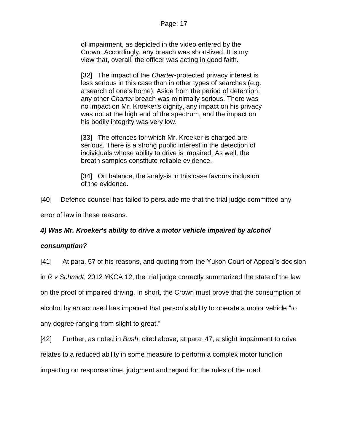of impairment, as depicted in the video entered by the Crown. Accordingly, any breach was short-lived. It is my view that, overall, the officer was acting in good faith.

[32] The impact of the *Charter*-protected privacy interest is less serious in this case than in other types of searches (e.g. a search of one's home). Aside from the period of detention, any other *Charter* breach was minimally serious. There was no impact on Mr. Kroeker's dignity, any impact on his privacy was not at the high end of the spectrum, and the impact on his bodily integrity was very low.

[33] The offences for which Mr. Kroeker is charged are serious. There is a strong public interest in the detection of individuals whose ability to drive is impaired. As well, the breath samples constitute reliable evidence.

[34] On balance, the analysis in this case favours inclusion of the evidence.

[40] Defence counsel has failed to persuade me that the trial judge committed any error of law in these reasons.

# *4) Was Mr. Kroeker's ability to drive a motor vehicle impaired by alcohol*

## *consumption?*

[41] At para. 57 of his reasons, and quoting from the Yukon Court of Appeal's decision

in *R v Schmidt*, 2012 YKCA 12, the trial judge correctly summarized the state of the law

on the proof of impaired driving. In short, the Crown must prove that the consumption of

alcohol by an accused has impaired that person's ability to operate a motor vehicle "to

any degree ranging from slight to great."

[42] Further, as noted in *Bush*, cited above, at para. 47, a slight impairment to drive relates to a reduced ability in some measure to perform a complex motor function impacting on response time, judgment and regard for the rules of the road.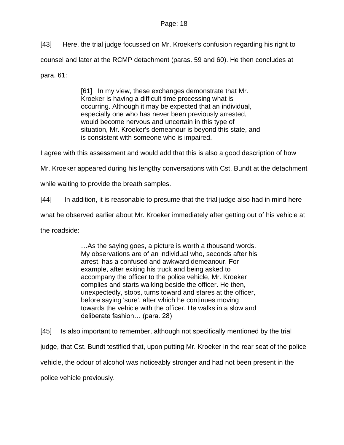[43] Here, the trial judge focussed on Mr. Kroeker's confusion regarding his right to counsel and later at the RCMP detachment (paras. 59 and 60). He then concludes at para. 61:

> [61] In my view, these exchanges demonstrate that Mr. Kroeker is having a difficult time processing what is occurring. Although it may be expected that an individual, especially one who has never been previously arrested, would become nervous and uncertain in this type of situation, Mr. Kroeker's demeanour is beyond this state, and is consistent with someone who is impaired.

I agree with this assessment and would add that this is also a good description of how

Mr. Kroeker appeared during his lengthy conversations with Cst. Bundt at the detachment

while waiting to provide the breath samples.

[44] In addition, it is reasonable to presume that the trial judge also had in mind here

what he observed earlier about Mr. Kroeker immediately after getting out of his vehicle at

the roadside:

…As the saying goes, a picture is worth a thousand words. My observations are of an individual who, seconds after his arrest, has a confused and awkward demeanour. For example, after exiting his truck and being asked to accompany the officer to the police vehicle, Mr. Kroeker complies and starts walking beside the officer. He then, unexpectedly, stops, turns toward and stares at the officer, before saying 'sure', after which he continues moving towards the vehicle with the officer. He walks in a slow and deliberate fashion… (para. 28)

[45] Is also important to remember, although not specifically mentioned by the trial judge, that Cst. Bundt testified that, upon putting Mr. Kroeker in the rear seat of the police vehicle, the odour of alcohol was noticeably stronger and had not been present in the

police vehicle previously.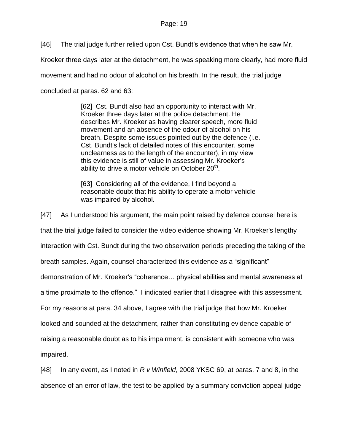[46] The trial judge further relied upon Cst. Bundt's evidence that when he saw Mr.

Kroeker three days later at the detachment, he was speaking more clearly, had more fluid

movement and had no odour of alcohol on his breath. In the result, the trial judge

concluded at paras. 62 and 63:

[62] Cst. Bundt also had an opportunity to interact with Mr. Kroeker three days later at the police detachment. He describes Mr. Kroeker as having clearer speech, more fluid movement and an absence of the odour of alcohol on his breath. Despite some issues pointed out by the defence (i.e. Cst. Bundt's lack of detailed notes of this encounter, some unclearness as to the length of the encounter), in my view this evidence is still of value in assessing Mr. Kroeker's ability to drive a motor vehicle on October 20<sup>th</sup>.

[63] Considering all of the evidence, I find beyond a reasonable doubt that his ability to operate a motor vehicle was impaired by alcohol.

[47] As I understood his argument, the main point raised by defence counsel here is that the trial judge failed to consider the video evidence showing Mr. Kroeker's lengthy interaction with Cst. Bundt during the two observation periods preceding the taking of the breath samples. Again, counsel characterized this evidence as a "significant" demonstration of Mr. Kroeker's "coherence… physical abilities and mental awareness at a time proximate to the offence." I indicated earlier that I disagree with this assessment. For my reasons at para. 34 above, I agree with the trial judge that how Mr. Kroeker looked and sounded at the detachment, rather than constituting evidence capable of raising a reasonable doubt as to his impairment, is consistent with someone who was impaired.

[48] In any event, as I noted in *R v Winfield*, 2008 YKSC 69, at paras. 7 and 8, in the absence of an error of law, the test to be applied by a summary conviction appeal judge